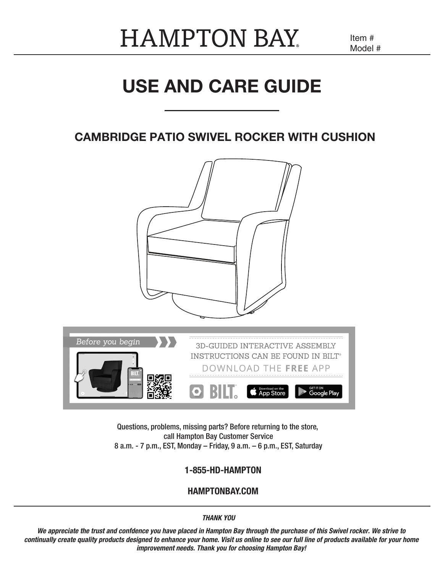## **HAMPTON BAY**

Item # Model #

## USE AND CARE GUIDE

## CAMBRIDGE PATIO SWIVEL ROCKER WITH CUSHION



Questions, problems, missing parts? Before returning to the store, call Hampton Bay Customer Service 8 a.m. - 7 p.m., EST, Monday – Friday, 9 a.m. – 6 p.m., EST, Saturday

#### 1-855-HD-HAMPTON

#### HAMPTONBAY.COM

*THANK YOU*

*We appreciate the trust and confdence you have placed in Hampton Bay through the purchase of this Swivel rocker. We strive to continually create quality products designed to enhance your home. Visit us online to see our full line of products available for your home improvement needs. Thank you for choosing Hampton Bay!*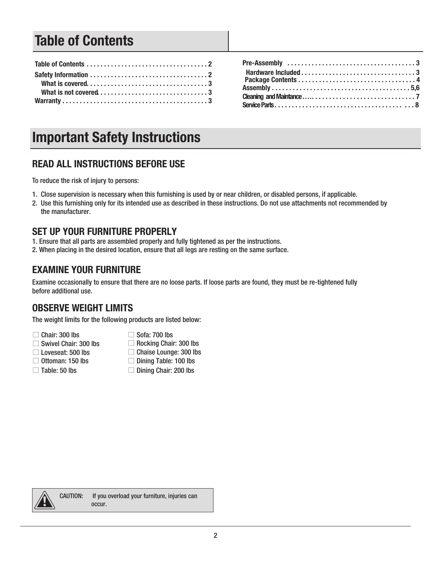## Table of Contents

## Important Safety Instructions

### READ ALL INSTRUCTIONS BEFORE USE

To reduce the risk of injury to persons:

- 1. Close supervision is necessary when this furnishing is used by or near children, or disabled persons, if applicable.
- 2. Use this furnishing only for its intended use as described in these instructions. Do not use attachments not recommended by the manufacturer.

#### SET UP YOUR FURNITURE PROPERLY

- 1. Ensure that all parts are assembled properly and fully tightened as per the instructions.
- 2. When placing in the desired location, ensure that all legs are resting on the same surface.

#### EXAMINE YOUR FURNITURE

Examine occasionally to ensure that there are no loose parts. If loose parts are found, they must be re-tightened fully before additional use.

#### OBSERVE WEIGHT LIMITS

The weight limits for the following products are listed below:

- $\Box$  Chair: 300 lbs
- □ Swivel Chair: 300 lbs
- □ Rocking Chair: 300 lbs
- □ Loveseat: 500 lbs
- $\Box$  Ottoman: 150 lbs
- $\Box$  Table: 50 lbs
- $\Box$  Sofa: 700 lbs
- □ Chaise Lounge: 300 lbs
- $\Box$  Dining Table: 100 lbs
- □ Dining Chair: 200 lbs



CAUTION: If you overload your furniture, injuries can occur.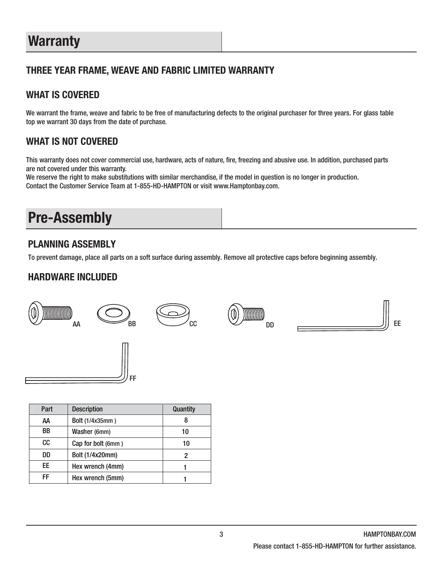## **Warranty**

## THREE YEAR FRAME, WEAVE AND FABRIC LIMITED WARRANTY

### WHAT IS COVERED

We warrant the frame, weave and fabric to be free of manufacturing defects to the original purchaser for three years. For glass table top we warrant 30 days from the date of purchase.

### WHAT IS NOT COVERED

This warranty does not cover commercial use, hardware, acts of nature, fire, freezing and abusive use. In addition, purchased parts are not covered under this warranty.

We reserve the right to make substitutions with similar merchandise, if the model in question is no longer in production. Contact the Customer Service Team at 1-855-HD-HAMPTON or visit www.Hamptonbay.com.

## Pre-Assembly

### PLANNING ASSEMBLY

To prevent damage, place all parts on a soft surface during assembly. Remove all protective caps before beginning assembly.

### HARDWARE INCLUDED



| Part | <b>Description</b> | Quantity |
|------|--------------------|----------|
| АΑ   | Bolt (1/4x35mm)    |          |
| ВB   | Washer (6mm)       | 10       |
| CC   | Cap for bolt (6mm) | 10       |
| DD   | Bolt (1/4x20mm)    |          |
| FF   | Hex wrench (4mm)   |          |
| FF   | Hex wrench (5mm)   |          |

FF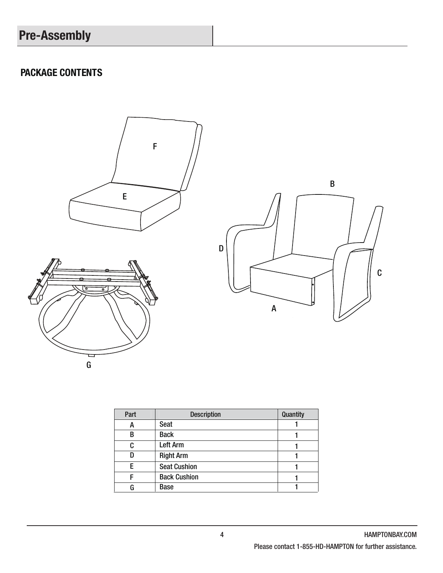## Pre-Assembly

### PACKAGE CONTENTS



| Part | <b>Description</b>  | Quantity |
|------|---------------------|----------|
| А    | Seat                |          |
| В    | <b>Back</b>         |          |
| C    | <b>Left Arm</b>     |          |
| n    | <b>Right Arm</b>    |          |
| F    | <b>Seat Cushion</b> |          |
|      | <b>Back Cushion</b> |          |
| G    | <b>Base</b>         |          |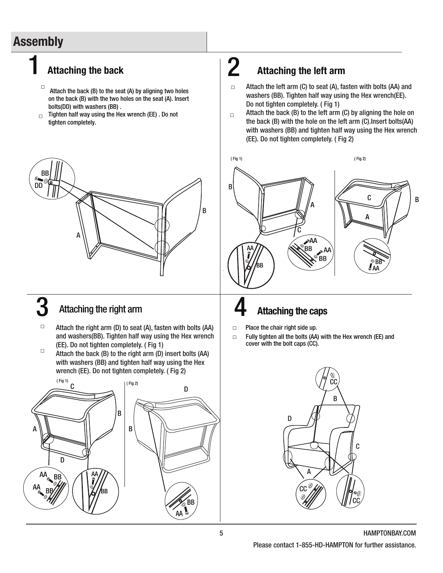## **Assembly**

1

- $\Box$  Attach the back (B) to the seat (A) by aligning two holes on the back (B) with the two holes on the seat (A). Insert bolts(DD) with washers (BB) .
- Tighten half way using the Hex wrench (EE) . Do not tighten completely. □



## 3

- □ Attach the right arm (D) to seat (A), fasten with bolts (AA) and washers(BB). Tighten half way using the Hex wrench (EE). Do not tighten completely. ( Fig 1)
- □ Attach the back (B) to the right arm (D) insert bolts (AA) with washers (BB) and tighten half way using the Hex wrench (EE). Do not tighten completely. ( Fig 2)



#### Attaching the back  $\vert$  Attaching the left arm 2

- □ Attach the left arm (C) to seat (A), fasten with bolts (AA) and washers (BB). Tighten half way using the Hex wrench(EE). Do not tighten completely. ( Fig 1)
- $\Box$ Attach the back (B) to the left arm (C) by aligning the hole on the back (B) with the hole on the left arm (C).Insert bolts(AA) with washers (BB) and tighten half way using the Hex wrench (EE). Do not tighten completely. ( Fig 2)



## 4 Attaching the right arm Attaching the caps

- □ Place the chair right side up.
- □ Fully tighten all the bolts (AA) with the Hex wrench (EE) and cover with the bolt caps (CC).

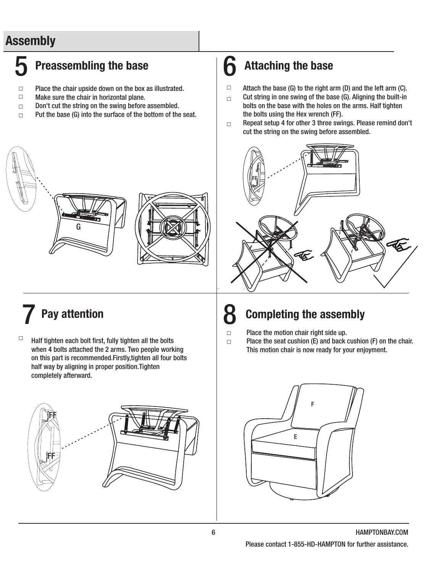## Assembly

## Preassembling the base  $\begin{array}{c|c}\n\hline\n\end{array}$  Attaching the base

- □ Place the chair upside down on the box as illustrated.
- □ Make sure the chair in horizontal plane.
- Don't cut the string on the swing before assembled. □
- Put the base (G) into the surface of the bottom of the seat. □

- □ Attach the base (G) to the right arm (D) and the left arm (C).
- □ Cut string in one swing of the base (G). Aligning the built-in bolts on the base with the holes on the arms. Half tighten the bolts using the Hex wrench (FF).
- $\Box$ Repeat setup 4 for other 3 three swings. Please remind don't cut the string on the swing before assembled.



G

□ Half tighten each bolt first, fully tighten all the bolts when 4 bolts attached the 2 arms. Two people working on this part is recommended.Firstly,tighten all four bolts half way by aligning in proper position.Tighten completely afterward.



## Pay attention  $\begin{vmatrix} 8 \end{vmatrix}$  Completing the assembly

- □ Place the motion chair right side up.
- □ Place the seat cushion (E) and back cushion (F) on the chair. This motion chair is now ready for your enjoyment.

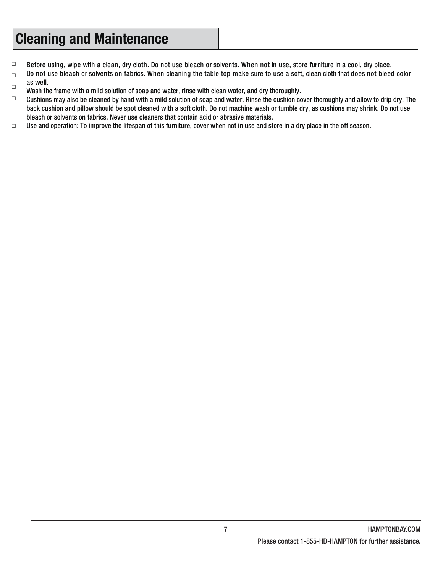## Cleaning and Maintenance

- □ Before using, wipe with a clean, dry cloth. Do not use bleach or solvents. When not in use, store furniture in a cool, dry place.
- $\Box$ Do not use bleach or solvents on fabrics. When cleaning the table top make sure to use a soft, clean cloth that does not bleed color as well.
- Wash the frame with a mild solution of soap and water, rinse with clean water, and dry thoroughly.  $\Box$
- Cushions may also be cleaned by hand with a mild solution of soap and water. Rinse the cushion cover thoroughly and allow to drip dry. The back cushion and pillow should be spot cleaned with a soft cloth. Do not machine wash or tumble dry, as cushions may shrink. Do not use bleach or solvents on fabrics. Never use cleaners that contain acid or abrasive materials. □
- Use and operation: To improve the lifespan of this furniture, cover when not in use and store in a dry place in the off season. □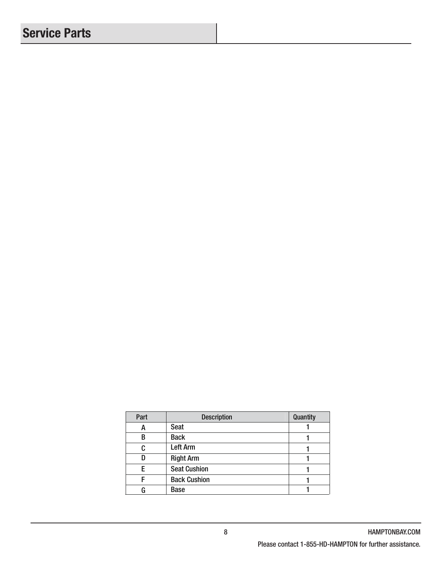## Service Parts

| Part | <b>Description</b>  | Quantity |
|------|---------------------|----------|
| А    | Seat                |          |
| R    | <b>Back</b>         |          |
| C    | Left Arm            |          |
|      | <b>Right Arm</b>    |          |
| F    | <b>Seat Cushion</b> |          |
|      | <b>Back Cushion</b> |          |
|      | <b>Base</b>         |          |